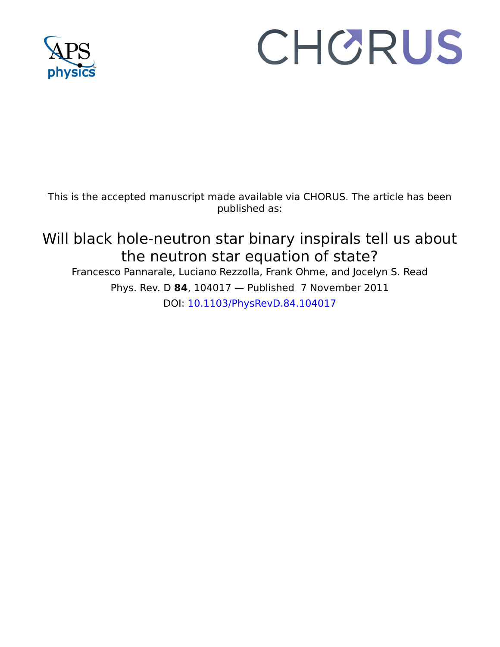

## CHORUS

This is the accepted manuscript made available via CHORUS. The article has been published as:

Will black hole-neutron star binary inspirals tell us about the neutron star equation of state? Francesco Pannarale, Luciano Rezzolla, Frank Ohme, and Jocelyn S. Read Phys. Rev. D **84**, 104017 — Published 7 November 2011 DOI: [10.1103/PhysRevD.84.104017](http://dx.doi.org/10.1103/PhysRevD.84.104017)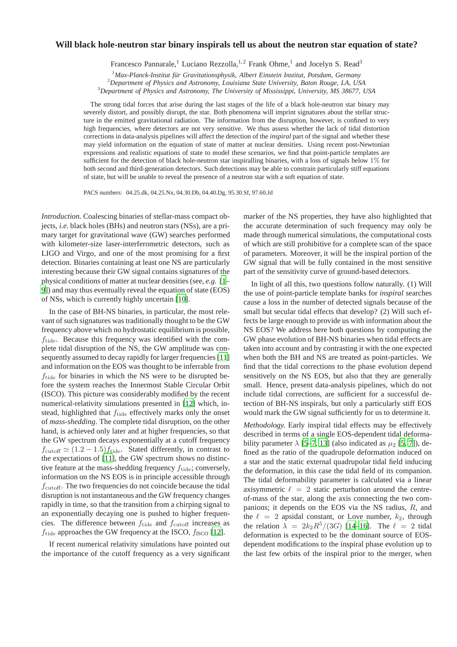## **Will black hole-neutron star binary inspirals tell us about the neutron star equation of state?**

Francesco Pannarale,<sup>1</sup> Luciano Rezzolla,<sup>1,2</sup> Frank Ohme,<sup>1</sup> and Jocelyn S. Read<sup>3</sup>

<sup>1</sup> Max-Planck-Institut für Gravitationsphysik, Albert Einstein Institut, Potsdam, Germany

<sup>2</sup>*Department of Physics and Astronomy, Louisiana State University, Baton Rouge, LA, USA*

<sup>3</sup>*Department of Physics and Astronomy, The University of Mississippi, University, MS 38677, USA*

The strong tidal forces that arise during the last stages of the life of a black hole-neutron star binary may severely distort, and possibly disrupt, the star. Both phenomena will imprint signatures about the stellar structure in the emitted gravitational radiation. The information from the disruption, however, is confined to very high frequencies, where detectors are not very sensitive. We thus assess whether the lack of tidal distortion corrections in data-analysis pipelines will affect the detection of the *inspiral* part of the signal and whether these may yield information on the equation of state of matter at nuclear densities. Using recent post-Newtonian expressions and realistic equations of state to model these scenarios, we find that point-particle templates are sufficient for the detection of black hole-neutron star inspiralling binaries, with a loss of signals below 1% for both second and third-generation detectors. Such detections may be able to constrain particularly stiff equations of state, but will be unable to reveal the presence of a neutron star with a soft equation of state.

PACS numbers: 04.25.dk, 04.25.Nx, 04.30.Db, 04.40.Dg, 95.30.Sf, 97.60.Jd

*Introduction.* Coalescing binaries of stellar-mass compact objects, *i.e.* black holes (BHs) and neutron stars (NSs), are a primary target for gravitational wave (GW) searches performed with kilometer-size laser-interferometric detectors, such as LIGO and Virgo, and one of the most promising for a first detection. Binaries containing at least one NS are particularly interesting because their GW signal contains signatures of the physical conditions of matter at nuclear densities (see, *e.g.* [1– [9](#page-4-1)]) and may thus eventually reveal the equation of state (EOS) of NSs, which is currently highly uncertain [10].

Surge binaries of sevara-lines conjugation-<br>since the accurate determination-<br>since the accurate determinational wave (G[W](#page-4-2)) searches performed made through numeric<br>laser-interferometric detectors, such as of which are still PACS numbers: 04.2 atc.04.2 ex.8 (44.2 sec.9 (44.2 atc.04.2 sec.9 (44.4 atc.04.2 sec.9 matcher of the NS properties, they have also highlighted bolss, the CHM in the HIM in the CHM in the access of HIM in the CHM in the C In the case of BH-NS binaries, in particular, the most relevant of such signatures was traditionally thought to be the GW frequency above which no hydrostatic equilibrium is possible,  $f_{\text{tide}}$ . Because this frequency was identified with the complete tidal disruption of the NS, the GW amplitude was consequently assumed to decay rapidly for larger frequencies [11] and information on the EOS was thought to be inferrable from  $f_{\text{tide}}$  for binaries in which the NS were to be disrupted before the system reaches the Innermost Stable Circular Orbit (ISCO). This picture was considerably modified by the recent numerical-relativity simulations presented in [12] which, instead, highlighted that  $f_{\text{tide}}$  effectively marks only the onset of *mass-shedding*. The complete tidal disruption, on the other hand, is achieved only later and at higher frequencies, so that the GW spectrum decays exponentially at a cutoff frequency  $f_{\text{cutoff}} \simeq (1.2 - 1.5) f_{\text{tide}}$ . Stated differently, in contrast to the expectations of [11], the GW spectrum shows no distinctive feature at the mass-shedding frequency  $f_{\text{tide}}$ ; conversely, information on the NS EOS is in principle accessible through  $f<sub>cutoff</sub>$ . The two frequencies do not coincide because the tidal disruption is not instantaneous and the GW frequency changes rapidly in time, so that the transition from a chirping signal to an exponentially decaying one is pushed to higher frequencies. The difference between  $f_{\text{tide}}$  and  $f_{\text{cutoff}}$  increases as  $f_{\text{tide}}$  approaches the GW frequency at the ISCO,  $f_{\text{ISCO}}$  [\[12\]](#page-4-4).

If recent numerical relativity simulations have pointed out the importance of the cutoff frequency as a very significant marker of the NS properties, they have also highlighted that the accurate determination of such frequency may only be made through numerical simulations, the computational costs of which are still prohibitive for a complete scan of the space of parameters. Moreover, it will be the inspiral portion of the GW signal that will be fully contained in the most sensitive part of the sensitivity curve of ground-based detectors.

In light of all this, two questions follow naturally. (1) Will the use of point-particle template banks for *inspiral* searches cause a loss in the number of detected signals because of the small but secular tidal effects that develop? (2) Will such effects be large enough to provide us with information about the NS EOS? We address here both questions by computing the GW phase evolution of BH-NS binaries when tidal effects are taken into account and by contrasting it with the one expected when both the BH and NS are treated as point-particles. We find that the tidal corrections to the phase evolution depend sensitively on the NS EOS, but also that they are generally small. Hence, present data-analysis pipelines, which do not include tidal corrections, are sufficient for a successful detection of BH-NS inspirals, but only a particularly stiff EOS would mark the GW signal sufficiently for us to determine it.

*Methodology.* Early inspiral tidal effects may be effectively described in terms of a single EOS-dependent tidal deformability parameter  $\lambda$  [5–7, 13] (also indicated as  $\mu_2$  [5, [7](#page-4-6)]), defined as the ratio of the quadrupole deformation induced on a star and the static external quadrupolar tidal field inducing the deformation, in this case the tidal field of its companion. The tidal deformability parameter is calculated via a linear axisymmetric  $\ell = 2$  static perturbation around the centreof-mass of the star, along the axis connecting the two companions; it depends on the EOS via the NS radius, R, and the  $\ell = 2$  apsidal constant, or Love number,  $k_2$ , through the relation  $\lambda = 2k_2R^5/(3G)$  [\[14](#page-4-8)[–16\]](#page-4-9). The  $\ell = 2$  tidal deformation is expected to be the dominant source of EOSdependent modifications to the inspiral phase evolution up to the last few orbits of the inspiral prior to the merger, when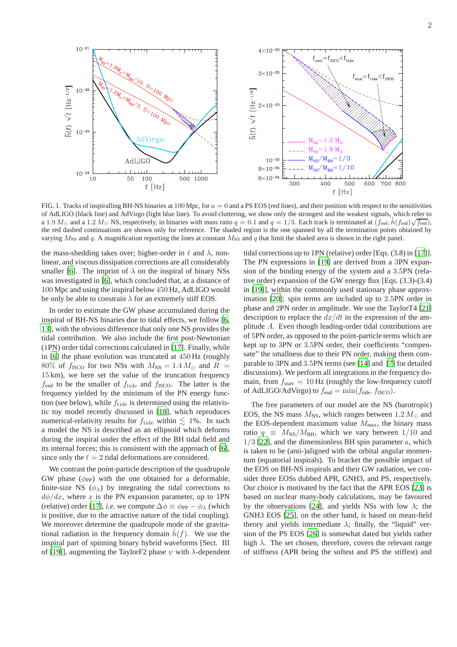

<span id="page-2-0"></span>FIG. 1. Tracks of inspiralling BH-NS binaries at 100 Mpc, for  $a = 0$  and a PS EOS (red lines), and their position with respect to the sensitivities of AdLIGO (black line) and AdVirgo (light blue line). To avoid cluttering, we show only the strongest and the weakest signals, which refer to a 1.9  $M_{\odot}$  and a 1.2  $M_{\odot}$  NS, respectively, in binaries with mass ratio  $q = 0.1$  and  $q = 1/3$ . Each track is terminated at  $(f_{\text{end}}, \tilde{h}(f_{\text{end}})\sqrt{f_{\text{end}}})$ , the red dashed continuations are shown only for reference. The shaded region is the one spanned by all the termination points obtained by varying  $M_{\text{NS}}$  and q. A magnification reporting the lines at constant  $M_{\text{NS}}$  and q that limit the shaded area is shown in the right panel.

the mass-shedding takes over; higher-order in  $\ell$  and  $\lambda$ , nonlinear, and viscous dissipation corrections are all considerably smaller [\[6](#page-4-10)]. The imprint of  $\lambda$  on the inspiral of binary NSs was investigated in [\[6\]](#page-4-10), which concluded that, at a distance of 100 Mpc and using the inspiral below 450 Hz, AdLIGO would be only be able to constrain  $\lambda$  for an extremely stiff EOS.

In order to estimate the GW phase accumulated during the inspiral of BH-NS binaries due to tidal effects, we follow [\[6,](#page-4-10) [13\]](#page-4-7), with the obvious difference that only one NS provides the tidal contribution. We also include the first post-Newtonian (1PN) order tidal corrections calculated in [\[17\]](#page-4-11). Finally, while in [\[6\]](#page-4-10) the phase evolution was truncated at 450 Hz (roughly 80% of  $f_{\text{ISCO}}$  for two NSs with  $M_{\text{NS}} = 1.4 M_{\odot}$  and  $R =$ 15 km), we here set the value of the truncation frequency  $f_{\text{end}}$  to be the smaller of  $f_{\text{tide}}$  and  $f_{\text{ISCO}}$ . The latter is the frequency yielded by the minimum of the PN energy function (see below), while  $f_{\text{tide}}$  is determined using the relativistic toy model recently discussed in [\[18\]](#page-4-12), which reproduces numerical-relativity results for  $f_{\text{tide}}$  within  $\lesssim$  1%. In such a model the NS is described as an ellipsoid which deforms during the inspiral under the effect of the BH tidal field and its internal forces; this is consistent with the approach of [\[6](#page-4-10)], since only the  $\ell = 2$  tidal deformations are considered.

We contrast the point-particle description of the quadrupole GW phase  $(\phi_{PP})$  with the one obtained for a deformable, finite-size NS  $(\phi_{\lambda})$  by integrating the tidal corrections to  $d\phi/dx$ , where x is the PN expansion parameter, up to 1PN (relative) order [\[17\]](#page-4-11), *i.e.* we compute  $\Delta \phi \equiv \phi_{PP} - \phi_{\lambda}$  (which is positive, due to the attractive nature of the tidal coupling). We moreover determine the quadrupole mode of the gravitational radiation in the frequency domain  $h(f)$ . We use the inspiral part of spinning binary hybrid waveforms [Sect. III of [\[19](#page-4-13)]], augmenting the TaylorF2 phase  $\psi$  with  $\lambda$ -dependent tidal corrections up to 1PN (relative) order [Eqs. (3.8) in [\[17\]](#page-4-11)]. The PN expressions in [\[19](#page-4-13)] are derived from a 3PN expansion of the binding energy of the system and a 3.5PN (relative order) expansion of the GW energy flux [Eqs. (3.3)-(3.4) in [\[19\]](#page-4-13)], within the commonly used stationary phase approximation [\[20\]](#page-4-14); spin terms are included up to 2.5PN order in phase and 2PN order in amplitude. We use the TaylorT4 [\[21\]](#page-4-15) description to replace the  $dx/dt$  in the expression of the amplitude A. Even though leading-order tidal contributions are of 5PN order, as opposed to the point-particle terms which are kept up to 3PN or 3.5PN order, their coefficients "compensate" the smallness due to their PN order, making them comparable to 3PN and 3.5PN terms (see [\[14\]](#page-4-8) and [\[7](#page-4-6)] for detailed discussions). We perform all integrations in the frequency domain, from  $f_{\text{start}} = 10$  Hz (roughly the low-frequency cutoff of AdLIGO/AdVirgo) to  $f_{\text{end}} = \min(f_{\text{tide}}, f_{\text{ISCO}})$ .

The free parameters of our model are the NS (barotropic) EOS, the NS mass  $M_{\text{NS}}$ , which ranges between 1.2  $M_{\odot}$  and the EOS-dependent maximum value  $M_{\text{max}}$ , the binary mass ratio  $q \equiv M_{\text{NS}}/M_{\text{BH}}$ , which we vary between 1/10 and  $1/3$  [\[22](#page-4-16)], and the dimensionless BH spin parameter a, which is taken to be (anti-)aligned with the orbital angular momentum (equatorial inspirals). To bracket the possible impact of the EOS on BH-NS inspirals and their GW radiation, we consider three EOSs dubbed APR, GNH3, and PS, respectively. Our choice is motivated by the fact that the APR EOS [\[23\]](#page-4-17) is based on nuclear many-body calculations, may be favoured by the observations [\[24\]](#page-4-18), and yields NSs with low  $\lambda$ ; the GNH3 EOS [\[25\]](#page-5-0), on the other hand, is based on mean-field theory and yields intermediate  $\lambda$ ; finally, the "liquid" version of the PS EOS [\[26\]](#page-5-1) is somewhat dated but yields rather high  $\lambda$ . The set chosen, therefore, covers the relevant range of stiffness (APR being the softest and PS the stiffest) and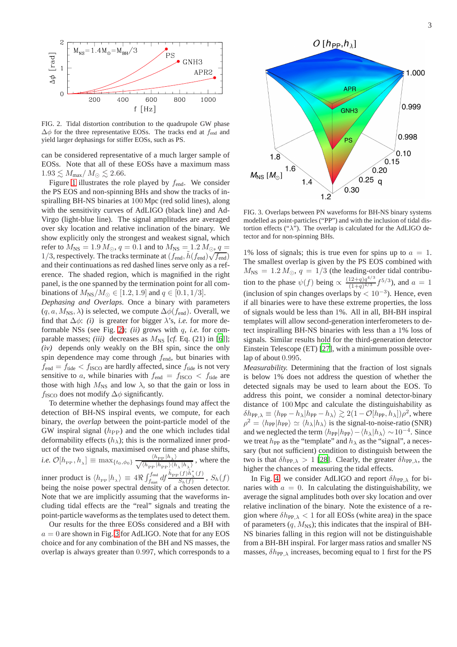

<span id="page-3-0"></span>FIG. 2. Tidal distortion contribution to the quadrupole GW phase  $\Delta\phi$  for the three representative EOSs. The tracks end at  $f_{\text{end}}$  and yield larger dephasings for stiffer EOSs, such as PS.

can be considered representative of a much larger sample of EOSs. Note that all of these EOSs have a maximum mass  $1.93 \leq M_{\text{max}}/M_{\odot} \leq 2.66.$ 

Figure [1](#page-2-0) illustrates the role played by  $f_{\text{end}}$ . We consider the PS EOS and non-spinning BHs and show the tracks of inspiralling BH-NS binaries at 100 Mpc (red solid lines), along with the sensitivity curves of AdLIGO (black line) and Ad-Virgo (light-blue line). The signal amplitudes are averaged over sky location and relative inclination of the binary. We show explicitly only the strongest and weakest signal, which refer to  $M_{\text{NS}} = 1.9 M_{\odot}$ ,  $q = 0.1$  and to  $M_{\text{NS}} = 1.2 M_{\odot}$ ,  $q =$ 1/3, respectively. The tracks terminate at  $(f_{\text{end}}^*, \tilde{h}(f_{\text{end}}) \sqrt{f_{\text{end}}}$ and their continuations as red dashed lines serve only as a reference. The shaded region, which is magnified in the right panel, is the one spanned by the termination point for all combinations of  $M_{\rm NS}/M_{\odot} \in [1.2, 1.9]$  and  $q \in [0.1, 1/3]$ .

*Dephasing and Overlaps.* Once a binary with parameters  $(q, a, M_{\text{NS}}, \lambda)$  is selected, we compute  $\Delta \phi(f_{\text{end}})$ . Overall, we find that  $\Delta \phi$ : *(i)* is greater for bigger  $\lambda$ 's, *i.e.* for more deformable NSs (see Fig. [2\)](#page-3-0); *(ii)* grows with q, *i.e.* for comparable masses; *(iii)* decreases as  $M_{\text{NS}}$  [cf. Eq. (21) in [\[6\]](#page-4-10)]; *(iv)* depends only weakly on the BH spin, since the only spin dependence may come through  $f_{\text{end}}$ , but binaries with  $f_{\text{end}} = f_{\text{tide}} < f_{\text{ISCO}}$  are hardly affected, since  $f_{\text{tide}}$  is not very sensitive to a, while binaries with  $f_{\text{end}} = f_{\text{ISCO}} < f_{\text{tide}}$  are those with high  $M_{\text{NS}}$  and low  $\lambda$ , so that the gain or loss in  $f_{\text{ISCO}}$  does not modify  $\Delta\phi$  significantly.

To determine whether the dephasings found may affect the detection of BH-NS inspiral events, we compute, for each binary, the *overlap* between the point-particle model of the GW inspiral signal  $(h_{PP})$  and the one which includes tidal deformability effects  $(h_{\lambda})$ ; this is the normalized inner product of the two signals, maximised over time and phase shifts, *i.e.*  $\mathcal{O}[h_{\text{PP}}, h_{\lambda}] \equiv \max_{\{t_0, \phi_0\}} \frac{\langle h_{\text{PP}} | h_{\lambda} \rangle}{\sqrt{\langle h_{\text{PP}} | h_{\text{PP}} \rangle \langle h_{\lambda} | h_{\lambda} \rangle}}$ , where the inner product is  $\langle h_{\text{PP}} | h_{\lambda} \rangle \equiv 4 \Re \int_{f_{\text{start}}}^{f_{\text{end}}} df \frac{\tilde{h}_{\text{PP}}(f) \tilde{h}_{\lambda}^*(f)}{S_h(f)}$  $\frac{S_h(f)^n \lambda^{(f)}}{S_h(f)}$ ,  $S_h(f)$ being the noise power spectral density of a chosen detector. Note that we are implicitly assuming that the waveforms including tidal effects are the "real" signals and treating the point-particle waveforms as the templates used to detect them.

Our results for the three EOSs considered and a BH with  $a = 0$  are shown in Fig. [3](#page-3-1) for AdLIGO. Note that for any EOS choice and for any combination of the BH and NS masses, the overlap is always greater than 0.997, which corresponds to a



<span id="page-3-1"></span>FIG. 3. Overlaps between PN waveforms for BH-NS binary systems modelled as point-particles ("PP") and with the inclusion of tidal distortion effects (" $\lambda$ "). The overlap is calculated for the AdLIGO detector and for non-spinning BHs.

1% loss of signals; this is true even for spins up to  $a = 1$ . The smallest overlap is given by the PS EOS combined with  $M_{\text{NS}} = 1.2 M_{\odot}, q = 1/3$  (the leading-order tidal contribution to the phase  $\psi(f)$  being  $\propto \frac{(12+q)q^{4/3}}{(1+q)^{4/3}}$  $\frac{12+q)q^{7/3}}{(1+q)^{4/3}} f^{5/3}$ , and  $a = 1$ (inclusion of spin changes overlaps by  $< 10^{-3}$ ). Hence, even if all binaries were to have these extreme properties, the loss of signals would be less than 1%. All in all, BH-BH inspiral templates will allow second-generation interferometers to detect inspiralling BH-NS binaries with less than a 1% loss of signals. Similar results hold for the third-generation detector Einstein Telescope (ET) [\[27](#page-5-2)], with a minimum possible overlap of about 0.995.

*Measurability.* Determining that the fraction of lost signals is below 1% does not address the question of whether the detected signals may be used to learn about the EOS. To address this point, we consider a nominal detector-binary distance of 100 Mpc and calculate the distinguishability as  $\delta h_{\text{PP},\lambda} \equiv \langle h_{\text{PP}} - h_{\lambda} | h_{\text{PP}} - h_{\lambda} \rangle \gtrsim 2(1 - \mathcal{O}[h_{\text{PP}}, h_{\lambda}]) \rho^2$ , where  $\rho^2 = \langle h_{\text{PP}} | h_{\text{PP}} \rangle \simeq \langle h_{\lambda} | h_{\lambda} \rangle$  is the signal-to-noise-ratio (SNR) and we neglected the term  $\langle h_{PP} | h_{PP} \rangle - \langle h_{\lambda} | h_{\lambda} \rangle \sim 10^{-4}$ . Since we treat  $h_{PP}$  as the "template" and  $h_{\lambda}$  as the "signal", a necessary (but not sufficient) condition to distinguish between the two is that  $\delta h_{PP,\lambda} > 1$  [\[28](#page-5-3)]. Clearly, the greater  $\delta h_{PP,\lambda}$ , the higher the chances of measuring the tidal effects.

In Fig. [4,](#page-4-19) we consider AdLIGO and report  $\delta h_{PP,\lambda}$  for binaries with  $a = 0$ . In calculating the distinguishability, we average the signal amplitudes both over sky location and over relative inclination of the binary. Note the existence of a region where  $\delta h_{PP, \lambda} < 1$  for all EOSs (white area) in the space of parameters  $(q, M_{\text{NS}})$ ; this indicates that the inspiral of BH-NS binaries falling in this region will not be distinguishable from a BH-BH inspiral. For larger mass ratios and smaller NS masses,  $\delta h_{PP, \lambda}$  increases, becoming equal to 1 first for the PS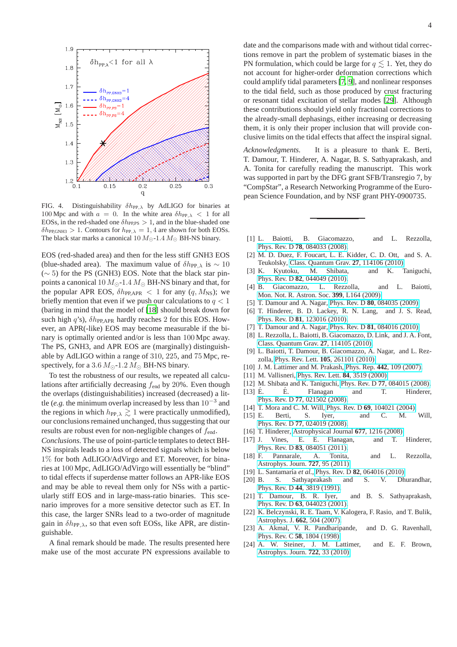

<span id="page-4-19"></span>FIG. 4. Distinguishability  $\delta h_{PP, \lambda}$  by AdLIGO for binaries at 100 Mpc and with  $a = 0$ . In the white area  $\delta h_{PP, \lambda} < 1$  for all EOSs, in the red-shaded one  $\delta h_{\text{PP,PS}} > 1$ , and in the blue-shaded one  $\delta h_{\text{PP,GNH3}} > 1$ . Contours for  $h_{\text{PP},\lambda} = 1, 4$  are shown for both EOSs. The black star marks a canonical 10  $M_{\odot}$ -1.4  $M_{\odot}$  BH-NS binary.

EOS (red-shaded area) and then for the less stiff GNH3 EOS (blue-shaded area). The maximum value of  $\delta h_{PP, \lambda}$  is ~ 10 (∼ 5) for the PS (GNH3) EOS. Note that the black star pinpoints a canonical 10  $M_{\odot}$ -1.4  $M_{\odot}$  BH-NS binary and that, for the popular APR EOS,  $\delta h_{PP,APR} < 1$  for any  $(q, M_{NS})$ ; we briefly mention that even if we push our calculations to  $q < 1$ (baring in mind that the model of [\[18](#page-4-12)] should break down for such high  $q$ 's),  $\delta h_{\text{PP,APR}}$  hardly reaches 2 for this EOS. However, an APR(-like) EOS may become measurable if the binary is optimally oriented and/or is less than 100 Mpc away. The PS, GNH3, and APR EOS are (marginally) distinguishable by AdLIGO within a range of 310, 225, and 75 Mpc, respectively, for a 3.6  $M_{\odot}$ -1.2  $M_{\odot}$  BH-NS binary.

To test the robustness of our results, we repeated all calculations after artificially decreasing  $f_{\text{end}}$  by 20%. Even though the overlaps (distinguishabilities) increased (decreased) a little (*e.g.* the minimum overlap increased by less than 10<sup>−</sup><sup>3</sup> and the regions in which  $h_{PP,\lambda} \gtrsim 1$  were practically unmodified), our conclusions remained unchanged, thus suggesting that our results are robust even for non-negligible changes of  $f_{\text{end}}$ .

*Conclusions.* The use of point-particle templates to detect BH-NS inspirals leads to a loss of detected signals which is below 1% for both AdLIGO/AdVirgo and ET. Moreover, for binaries at 100 Mpc, AdLIGO/AdVirgo will essentially be "blind" to tidal effects if superdense matter follows an APR-like EOS and may be able to reveal them only for NSs with a particularly stiff EOS and in large-mass-ratio binaries. This scenario improves for a more sensitive detector such as ET. In this case, the larger SNRs lead to a two-order of magnitude gain in  $\delta h_{PP,\lambda}$ , so that even soft EOSs, like APR, are distinguishable.

A final remark should be made. The results presented here make use of the most accurate PN expressions available to date and the comparisons made with and without tidal corrections remove in part the problem of systematic biases in the PN formulation, which could be large for  $q \leq 1$ . Yet, they do not account for higher-order deformation corrections which could amplify tidal parameters [\[7,](#page-4-6) [9\]](#page-4-1), and nonlinear responses to the tidal field, such as those produced by crust fracturing or resonant tidal excitation of stellar modes [\[29\]](#page-5-4). Although these contributions should yield only fractional corrections to the already-small dephasings, either increasing or decreasing them, it is only their proper inclusion that will provide conclusive limits on the tidal effects that affect the inspiral signal.

*Acknowledgments.* It is a pleasure to thank E. Berti, T. Damour, T. Hinderer, A. Nagar, B. S. Sathyaprakash, and A. Tonita for carefully reading the manuscript. This work was supported in part by the DFG grant SFB/Transregio 7, by "CompStar", a Research Networking Programme of the European Science Foundation, and by NSF grant PHY-0900735.

- <span id="page-4-0"></span>[1] L. Baiotti, B. Giacomazzo, and L. Rezzolla, Phys. Rev. D **78**[, 084033 \(2008\).](http://dx.doi.org/10.1103/PhysRevD.78.084033)
- [2] M. D. Duez, F. Foucart, L. E. Kidder, C. D. Ott, and S. A. Teukolsky, [Class. Quantum Grav.](http://dx.doi.org/10.1088/0264-9381/27/11/114106) **27**, 114106 (2010).
- [3] K. Kyutoku, M. Shibata, and K. Taniguchi, Phys. Rev. D **82**[, 044049 \(2010\).](http://dx.doi.org/10.1103/PhysRevD.82.044049)
- [4] B. Giacomazzo, L. Rezzolla, and L. Baiotti, [Mon. Not. R. Astron. Soc.](http://dx.doi.org/10.1111/j.1745-3933.2009.00745.x) **399**, L164 (2009).
- <span id="page-4-5"></span>[5] T. Damour and A. Nagar, Phys. Rev. D **80**[, 084035 \(2009\).](http://dx.doi.org/10.1103/PhysRevD.80.084035)
- <span id="page-4-10"></span>[6] T. Hinderer, B. D. Lackey, R. N. Lang, and J. S. Read, Phys. Rev. D **81**[, 123016 \(2010\).](http://dx.doi.org/10.1103/PhysRevD.81.123016)
- <span id="page-4-6"></span>[7] T. Damour and A. Nagar, Phys. Rev. D **81**[, 084016 \(2010\).](http://dx.doi.org/10.1103/PhysRevD.81.084016)
- [8] L. Rezzolla, L. Baiotti, B. Giacomazzo, D. Link, and J. A. Font, [Class. Quantum Grav.](http://dx.doi.org/10.1088/0264-9381/27/11/114105) **27**, 114105 (2010).
- <span id="page-4-1"></span>[9] L. Baiotti, T. Damour, B. Giacomazzo, A. Nagar, and L. Rezzolla, Phys. Rev. Lett. **105**[, 261101 \(2010\).](http://dx.doi.org/ 10.1103/PhysRevLett.105.261101)
- <span id="page-4-2"></span>[10] J. M. Lattimer and M. Prakash, Phys. Rep. **442**[, 109 \(2007\).](http://dx.doi.org/10.1016/j.physrep.2007.02.003)
- <span id="page-4-3"></span>[11] M. Vallisneri, [Phys. Rev. Lett.](http://dx.doi.org/10.1103/PhysRevLett.84.3519) **84**, 3519 (2000).
- <span id="page-4-4"></span>[12] M. Shibata and K. Taniguchi, Phys. Rev. D **77**[, 084015 \(2008\).](http://dx.doi.org/10.1103/PhysRevD.77.084015)
- <span id="page-4-7"></span>[13] É. É. Flanagan and T. Hinderer, Phys. Rev. D **77**[, 021502 \(2008\).](http://dx.doi.org/ 10.1103/PhysRevD.77.021502)
- <span id="page-4-8"></span>[14] T. Mora and C. M. Will, Phys. Rev. D **69**[, 104021 \(2004\).](http://dx.doi.org/10.1103/PhysRevD.69.104021)
- [15] E. Berti, S. Iyer, and C. M. Will, Phys. Rev. D **77**[, 024019 \(2008\).](http://dx.doi.org/10.1103/PhysRevD.77.024019)
- <span id="page-4-9"></span>[16] T. Hinderer, [Astrophysical Journal](http://dx.doi.org/10.1086/533487) **677**, 1216 (2008).
- <span id="page-4-11"></span>[17] J. Vines, E. E. Flanagan, and T. Hinderer, Phys. Rev. D **83**[, 084051 \(2011\).](http://dx.doi.org/10.1103/PhysRevD.83.084051)
- <span id="page-4-12"></span>[18] F. Pannarale, A. Tonita, and L. Rezzolla, [Astrophys. Journ.](http://dx.doi.org/10.1088/0004-637X/727/2/95) **727**, 95 (2011).
- <span id="page-4-13"></span>[19] L. Santamaría et al., Phys. Rev. D 82[, 064016 \(2010\).](http://dx.doi.org/ 10.1103/PhysRevD.82.064016)
- <span id="page-4-14"></span>[20] B. S. Sathyaprakash and S. V. Dhurandhar, Phys. Rev. D **44**[, 3819 \(1991\).](http://dx.doi.org/10.1103/PhysRevD.44.3819)
- <span id="page-4-15"></span>[21] T. Damour, B. R. Iyer, and B. S. Sathyaprakash, Phys. Rev. D **63**[, 044023 \(2001\).](http://dx.doi.org/10.1103/PhysRevD.63.044023)
- <span id="page-4-16"></span>[22] K. Belczynski, R. E. Taam, V. Kalogera, F. Rasio, and T. Bulik, [Astrophys. J.](http://dx.doi.org/10.1086/513562) **662**, 504 (2007).
- <span id="page-4-17"></span>[23] A. Akmal, V. R. Pandharipande, and D. G. Ravenhall, Phys. Rev. C **58**[, 1804 \(1998\).](http://dx.doi.org/10.1103/PhysRevC.58.1804)
- <span id="page-4-18"></span>[24] A. W. Steiner, J. M. Lattimer, and E. F. Brown, [Astrophys. Journ.](http://dx.doi.org/10.1088/0004-637X/722/1/33) **722**, 33 (2010).